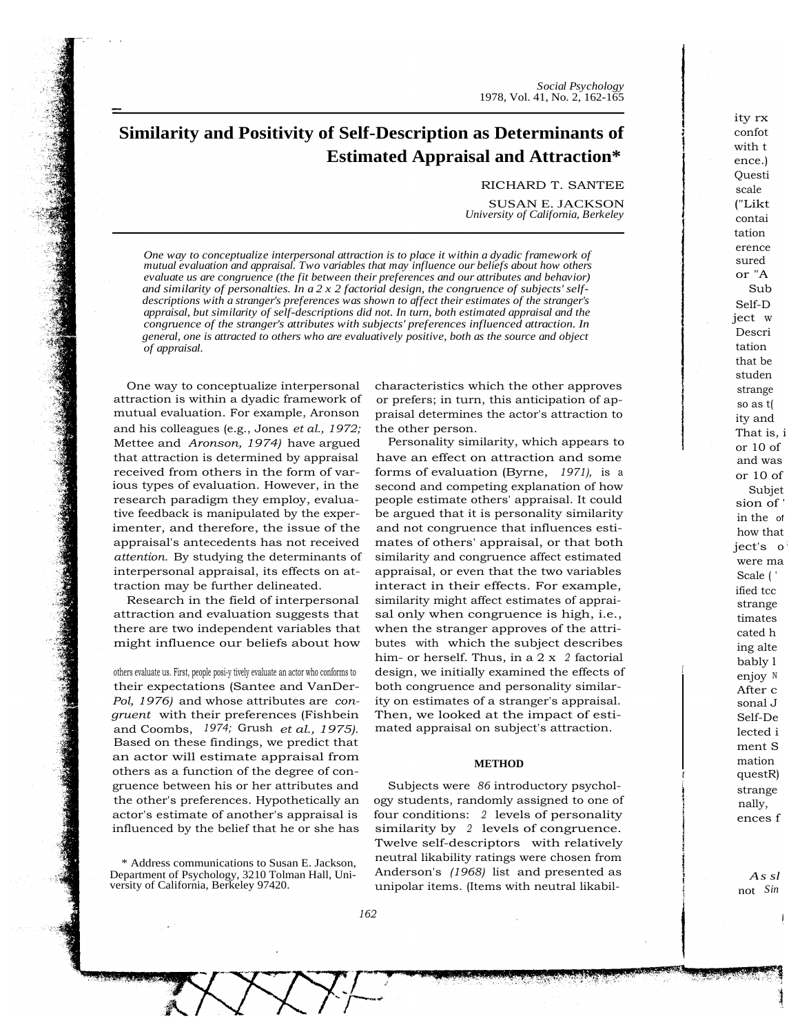*Social Psychology* 1978, Vol. 41, No. 2, 162-165

# **Similarity and Positivity of Self-Description as Determinants of Estimated Appraisal and Attraction\***

RICHARD T. SANTEE

SUSAN E. JACKSON *University of California, Berkeley*

*One way to conceptualize interpersonal attraction is to place it within a dyadic framework of mutual evaluation and appraisal. Two variables that may influence our beliefs about how others evaluate us are congruence (the fit between their preferences and our attributes and behavior) and similarity of personalties. In a 2 x 2 factorial design, the congruence of subjects' selfdescriptions with a stranger's preferences was shown to affect their estimates of the stranger's appraisal, but similarity of self-descriptions did not. In turn, both estimated appraisal and the congruence of the stranger's attributes with subjects' preferences influenced attraction. In general, one is attracted to others who are evaluatively positive, both as the source and object of appraisal.*

One way to conceptualize interpersonal attraction is within a dyadic framework of mutual evaluation. For example, Aronson and his colleagues (e.g., Jones *et al., 1972;* Mettee and *Aronson, 1974)* have argued that attraction is determined by appraisal received from others in the form of various types of evaluation. However, in the research paradigm they employ, evaluative feedback is manipulated by the experimenter, and therefore, the issue of the appraisal's antecedents has not received *attention.* By studying the determinants of interpersonal appraisal, its effects on attraction may be further delineated.

Research in the field of interpersonal attraction and evaluation suggests that there are two independent variables that might influence our beliefs about how

others evaluate us. First, people posi-y tively evaluate an actor who conforms to their expectations (Santee and VanDer-*Pol, 1976)* and whose attributes are *congruent* with their preferences (Fishbein and Coombs, *1974;* Grush *et al., 1975).* Based on these findings, we predict that an actor will estimate appraisal from others as a function of the degree of congruence between his or her attributes and the other's preferences. Hypothetically an actor's estimate of another's appraisal is influenced by the belief that he or she has

\* Address communications to Susan E. Jackson, Department of Psychology, 3210 Tolman Hall, University of California, Berkeley 97420.

characteristics which the other approves or prefers; in turn, this anticipation of appraisal determines the actor's attraction to the other person.

Personality similarity, which appears to have an effect on attraction and some forms of evaluation (Byrne, *1971),* is <sup>a</sup> second and competing explanation of how people estimate others' appraisal. It could be argued that it is personality similarity and not congruence that influences estimates of others' appraisal, or that both similarity and congruence affect estimated appraisal, or even that the two variables interact in their effects. For example, similarity might affect estimates of appraisal only when congruence is high, i.e., when the stranger approves of the attributes with which the subject describes him- or herself. Thus, in a 2 x *<sup>2</sup>* factorial design, we initially examined the effects of both congruence and personality similarity on estimates of a stranger's appraisal. Then, we looked at the impact of estimated appraisal on subject's attraction.

## **METHOD**

Subjects were *86* introductory psychology students, randomly assigned to one of four conditions: *<sup>2</sup>* levels of personality similarity by *<sup>2</sup>* levels of congruence. Twelve self-descriptors with relatively neutral likability ratings were chosen from Anderson's *(1968)* list and presented as unipolar items. (Items with neutral likabil-

ity rx confot with t ence.) Questi scale ("Likt contai tation erence sured or "A Sub Self-D ject w Descri tation that be studen strange so as t( ity and That is, i  $or 10 of$ and was or 10 of Subjet sion of ' in the of how that ject's o were ma Scale ( ' ified tcc strange timates cated h ing alte bably l enjoy <sup>N</sup> After c sonal J Self-De lected i ment S mation questR) strange nally, ences f

*I*

*t i*

> *As sl* not *Sin*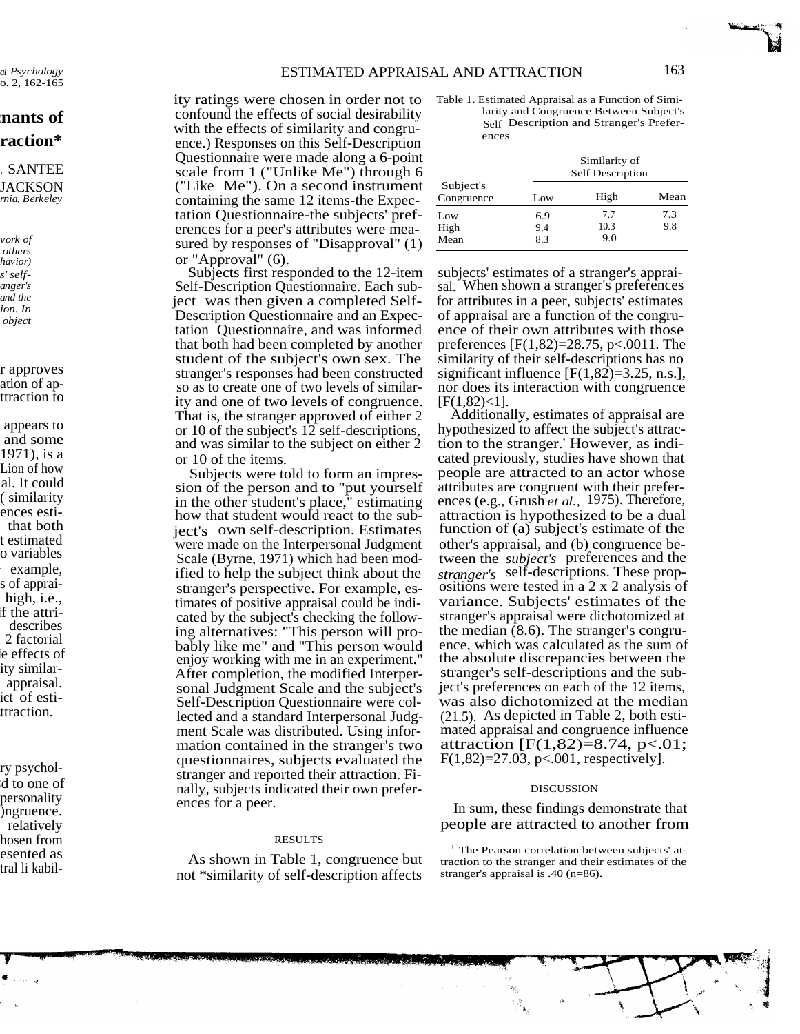*al Psychology* o. 2, 162-165

## **:nants of raction\***

## . SANTEE **JACKSON** *rnia, Berkeley*

*vork of others havior) s' selfanger's and the ion. In ' object*

## r approves ation of apttraction to

appears to and some 1971), is a Lion of how al. It could ( similarity ences estithat both t estimated o variables - example, s of appraihigh, i.e., if the attridescribes 2 factorial ie effects of ity similarappraisal. ict of esti- .ttraction.

ry psychol- :d to one of personality )ngruence. relatively hosen from esented as tral li kabil-

فهالمناد

ity ratings were chosen in order not to confound the effects of social desirability with the effects of similarity and congruence.) Responses on this Self-Description Questionnaire were made along a 6-point scale from 1 ("Unlike Me") through 6 ("Like Me"). On a second instrument containing the same 12 items-the Expectation Questionnaire-the subjects' preferences for a peer's attributes were measured by responses of "Disapproval" (1) or "Approval" (6).

Subjects first responded to the 12-item Self-Description Questionnaire. Each subject was then given a completed Self-Description Questionnaire and an Expectation Questionnaire, and was informed that both had been completed by another student of the subject's own sex. The stranger's responses had been constructed so as to create one of two levels of similarity and one of two levels of congruence. That is, the stranger approved of either 2 or 10 of the subject's 12 self-descriptions, and was similar to the subject on either 2 or 10 of the items.

Subjects were told to form an impression of the person and to "put yourself in the other student's place," estimating how that student would react to the subject's own self-description. Estimates were made on the Interpersonal Judgment Scale (Byrne, 1971) which had been modified to help the subject think about the stranger's perspective. For example, estimates of positive appraisal could be indicated by the subject's checking the following alternatives: "This person will probably like me" and "This person would enjoy working with me in an experiment." After completion, the modified Interpersonal Judgment Scale and the subject's Self-Description Questionnaire were collected and a standard Interpersonal Judgment Scale was distributed. Using information contained in the stranger's two questionnaires, subjects evaluated the stranger and reported their attraction. Finally, subjects indicated their own preferences for a peer.

### RESULTS

As shown in Table 1, congruence but not \*similarity of self-description affects

Lands all instruments of below the store in

Table 1. Estimated Appraisal as a Function of Similarity and Congruence Between Subject's Self Description and Stranger's Preferences

| Subject's<br>Congruence | Similarity of<br>Self Description |      |      |
|-------------------------|-----------------------------------|------|------|
|                         | Low                               | High | Mean |
| Low                     | 6.9                               | 7.7  | 7.3  |
| High                    | 9.4                               | 10.3 | 9.8  |
| Mean                    | 83                                | 9.0  |      |

subjects' estimates of a stranger's appraisal. When shown a stranger's preferences for attributes in a peer, subjects' estimates of appraisal are a function of the congruence of their own attributes with those preferences [F(1,82)=28.75, p<.0011. The similarity of their self-descriptions has no significant influence  $[F(1,82)=3.25, n.s.]$ , nor does its interaction with congruence  $[F(1,82)<1]$ .

Additionally, estimates of appraisal are hypothesized to affect the subject's attraction to the stranger.' However, as indicated previously, studies have shown that people are attracted to an actor whose attributes are congruent with their preferences (e.g., Grush *et al.,* 1975). Therefore, attraction is hypothesized to be a dual function of (a) subject's estimate of the other's appraisal, and (b) congruence between the *subject's* preferences and the *stranger's* self-descriptions. These propositions were tested in a 2 x 2 analysis of variance. Subjects' estimates of the stranger's appraisal were dichotomized at the median (8.6). The stranger's congruence, which was calculated as the sum of the absolute discrepancies between the stranger's self-descriptions and the subject's preferences on each of the 12 items, was also dichotomized at the median (21.5). As depicted in Table 2, both estimated appraisal and congruence influence attraction [F(1,82)=8.74, p<.01;  $F(1,82)=27.03$ , p<.001, respectively].

#### DISCUSSION

In sum, these findings demonstrate that people are attracted to another from

The Pearson correlation between subjects' attraction to the stranger and their estimates of the stranger's appraisal is .40 (n=86).